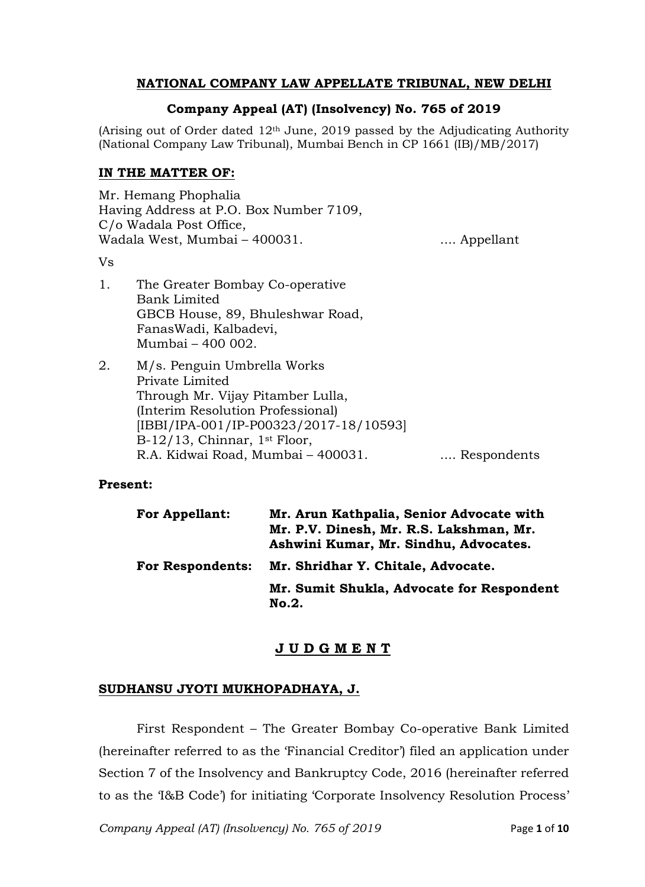# **NATIONAL COMPANY LAW APPELLATE TRIBUNAL, NEW DELHI**

#### **Company Appeal (AT) (Insolvency) No. 765 of 2019**

(Arising out of Order dated  $12<sup>th</sup>$  June, 2019 passed by the Adjudicating Authority (National Company Law Tribunal), Mumbai Bench in CP 1661 (IB)/MB/2017)

#### **IN THE MATTER OF:**

Mr. Hemang Phophalia Having Address at P.O. Box Number 7109, C/o Wadala Post Office, Wadala West, Mumbai – 400031. .... .... Appellant

Vs

- 1. The Greater Bombay Co-operative Bank Limited GBCB House, 89, Bhuleshwar Road, FanasWadi, Kalbadevi, Mumbai – 400 002.
- 2. M/s. Penguin Umbrella Works Private Limited Through Mr. Vijay Pitamber Lulla, (Interim Resolution Professional) [IBBI/IPA-001/IP-P00323/2017-18/10593] B-12/13, Chinnar, 1st Floor, R.A. Kidwai Road, Mumbai - 400031. .... Respondents

#### **Present:**

| <b>For Appellant:</b>   | Mr. Arun Kathpalia, Senior Advocate with<br>Mr. P.V. Dinesh, Mr. R.S. Lakshman, Mr.<br>Ashwini Kumar, Mr. Sindhu, Advocates. |
|-------------------------|------------------------------------------------------------------------------------------------------------------------------|
| <b>For Respondents:</b> | Mr. Shridhar Y. Chitale, Advocate.                                                                                           |
|                         | Mr. Sumit Shukla, Advocate for Respondent<br>No.2.                                                                           |

# **J U D G M E N T**

#### **SUDHANSU JYOTI MUKHOPADHAYA, J.**

First Respondent – The Greater Bombay Co-operative Bank Limited (hereinafter referred to as the 'Financial Creditor') filed an application under Section 7 of the Insolvency and Bankruptcy Code, 2016 (hereinafter referred to as the 'I&B Code') for initiating 'Corporate Insolvency Resolution Process'

*Company Appeal (AT) (Insolvency) No. 765 of 2019* Page **1** of **10**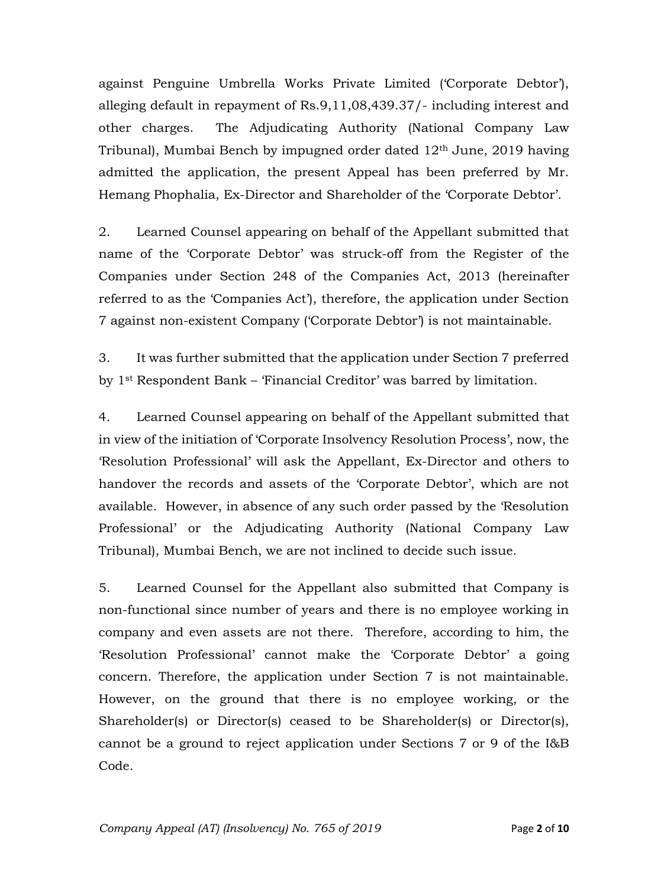against Penguine Umbrella Works Private Limited ('Corporate Debtor'), alleging default in repayment of Rs.9,11,08,439.37/- including interest and other charges. The Adjudicating Authority (National Company Law Tribunal), Mumbai Bench by impugned order dated 12th June, 2019 having admitted the application, the present Appeal has been preferred by Mr. Hemang Phophalia, Ex-Director and Shareholder of the 'Corporate Debtor'.

2. Learned Counsel appearing on behalf of the Appellant submitted that name of the 'Corporate Debtor' was struck-off from the Register of the Companies under Section 248 of the Companies Act, 2013 (hereinafter referred to as the 'Companies Act'), therefore, the application under Section 7 against non-existent Company ('Corporate Debtor') is not maintainable.

3. It was further submitted that the application under Section 7 preferred by 1st Respondent Bank – 'Financial Creditor' was barred by limitation.

4. Learned Counsel appearing on behalf of the Appellant submitted that in view of the initiation of 'Corporate Insolvency Resolution Process', now, the 'Resolution Professional' will ask the Appellant, Ex-Director and others to handover the records and assets of the 'Corporate Debtor', which are not available. However, in absence of any such order passed by the 'Resolution Professional' or the Adjudicating Authority (National Company Law Tribunal), Mumbai Bench, we are not inclined to decide such issue.

5. Learned Counsel for the Appellant also submitted that Company is non-functional since number of years and there is no employee working in company and even assets are not there. Therefore, according to him, the 'Resolution Professional' cannot make the 'Corporate Debtor' a going concern. Therefore, the application under Section 7 is not maintainable. However, on the ground that there is no employee working, or the Shareholder(s) or Director(s) ceased to be Shareholder(s) or Director(s), cannot be a ground to reject application under Sections 7 or 9 of the I&B Code.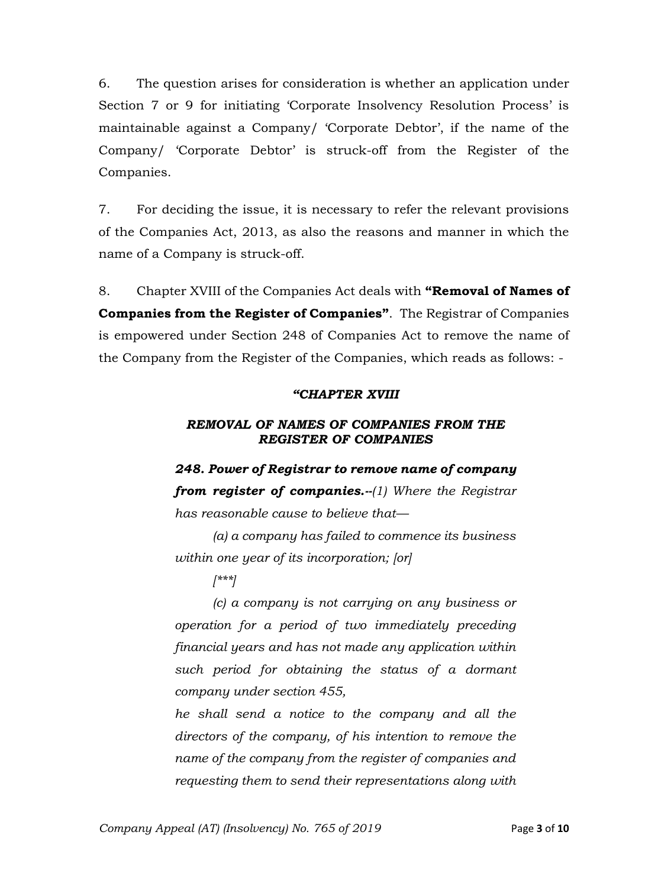6. The question arises for consideration is whether an application under Section 7 or 9 for initiating 'Corporate Insolvency Resolution Process' is maintainable against a Company/ 'Corporate Debtor', if the name of the Company/ 'Corporate Debtor' is struck-off from the Register of the Companies.

7. For deciding the issue, it is necessary to refer the relevant provisions of the Companies Act, 2013, as also the reasons and manner in which the name of a Company is struck-off.

8. Chapter XVIII of the Companies Act deals with **"Removal of Names of Companies from the Register of Companies"**. The Registrar of Companies is empowered under Section 248 of Companies Act to remove the name of the Company from the Register of the Companies, which reads as follows: -

# *"CHAPTER XVIII*

# *REMOVAL OF NAMES OF COMPANIES FROM THE REGISTER OF COMPANIES*

*248. Power of Registrar to remove name of company from register of companies.--(1) Where the Registrar has reasonable cause to believe that—*

*(a) a company has failed to commence its business within one year of its incorporation; [or]*

*[\*\*\*]*

*(c) a company is not carrying on any business or operation for a period of two immediately preceding financial years and has not made any application within such period for obtaining the status of a dormant company under section 455,* 

*he shall send a notice to the company and all the directors of the company, of his intention to remove the name of the company from the register of companies and requesting them to send their representations along with*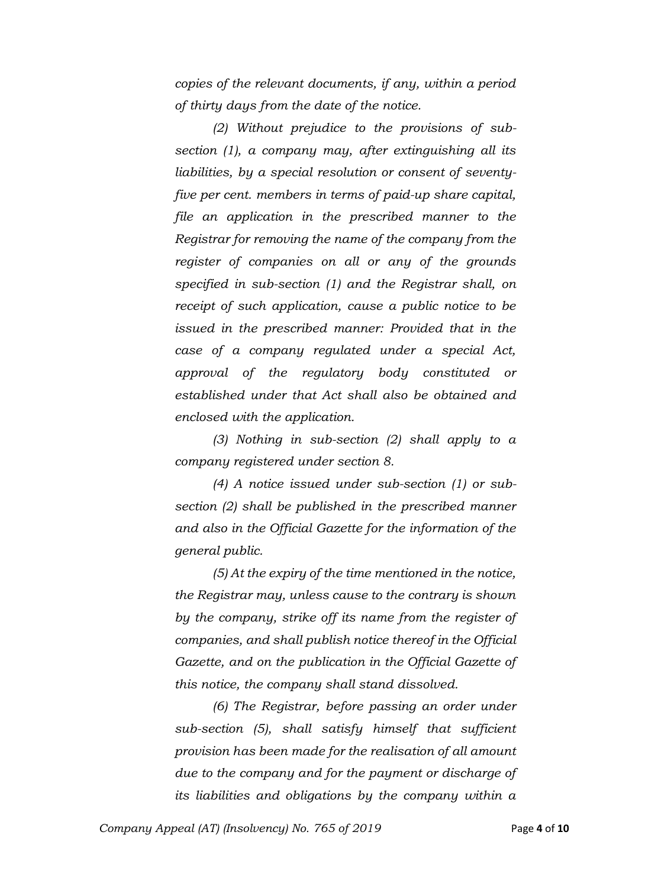*copies of the relevant documents, if any, within a period of thirty days from the date of the notice.* 

*(2) Without prejudice to the provisions of subsection (1), a company may, after extinguishing all its liabilities, by a special resolution or consent of seventyfive per cent. members in terms of paid-up share capital, file an application in the prescribed manner to the Registrar for removing the name of the company from the register of companies on all or any of the grounds specified in sub-section (1) and the Registrar shall, on receipt of such application, cause a public notice to be issued in the prescribed manner: Provided that in the case of a company regulated under a special Act, approval of the regulatory body constituted or established under that Act shall also be obtained and enclosed with the application.* 

*(3) Nothing in sub-section (2) shall apply to a company registered under section 8.* 

*(4) A notice issued under sub-section (1) or subsection (2) shall be published in the prescribed manner and also in the Official Gazette for the information of the general public.* 

*(5) At the expiry of the time mentioned in the notice, the Registrar may, unless cause to the contrary is shown by the company, strike off its name from the register of companies, and shall publish notice thereof in the Official Gazette, and on the publication in the Official Gazette of this notice, the company shall stand dissolved.* 

*(6) The Registrar, before passing an order under sub-section (5), shall satisfy himself that sufficient provision has been made for the realisation of all amount due to the company and for the payment or discharge of its liabilities and obligations by the company within a*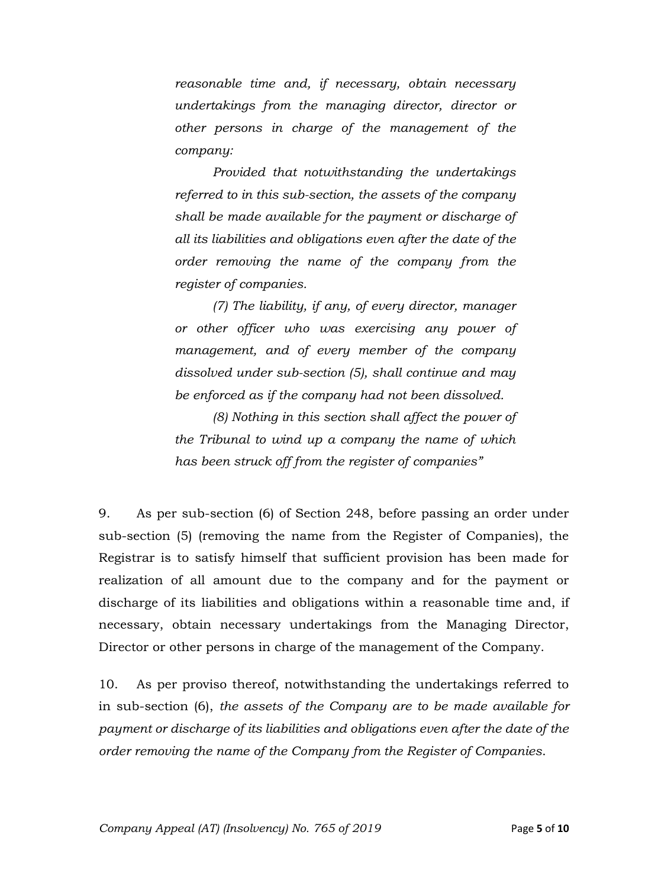*reasonable time and, if necessary, obtain necessary undertakings from the managing director, director or other persons in charge of the management of the company:* 

*Provided that notwithstanding the undertakings referred to in this sub-section, the assets of the company shall be made available for the payment or discharge of all its liabilities and obligations even after the date of the order removing the name of the company from the register of companies.* 

*(7) The liability, if any, of every director, manager or other officer who was exercising any power of management, and of every member of the company dissolved under sub-section (5), shall continue and may be enforced as if the company had not been dissolved.* 

*(8) Nothing in this section shall affect the power of the Tribunal to wind up a company the name of which has been struck off from the register of companies"*

9. As per sub-section (6) of Section 248, before passing an order under sub-section (5) (removing the name from the Register of Companies), the Registrar is to satisfy himself that sufficient provision has been made for realization of all amount due to the company and for the payment or discharge of its liabilities and obligations within a reasonable time and, if necessary, obtain necessary undertakings from the Managing Director, Director or other persons in charge of the management of the Company.

10. As per proviso thereof, notwithstanding the undertakings referred to in sub-section (6), *the assets of the Company are to be made available for payment or discharge of its liabilities and obligations even after the date of the order removing the name of the Company from the Register of Companies*.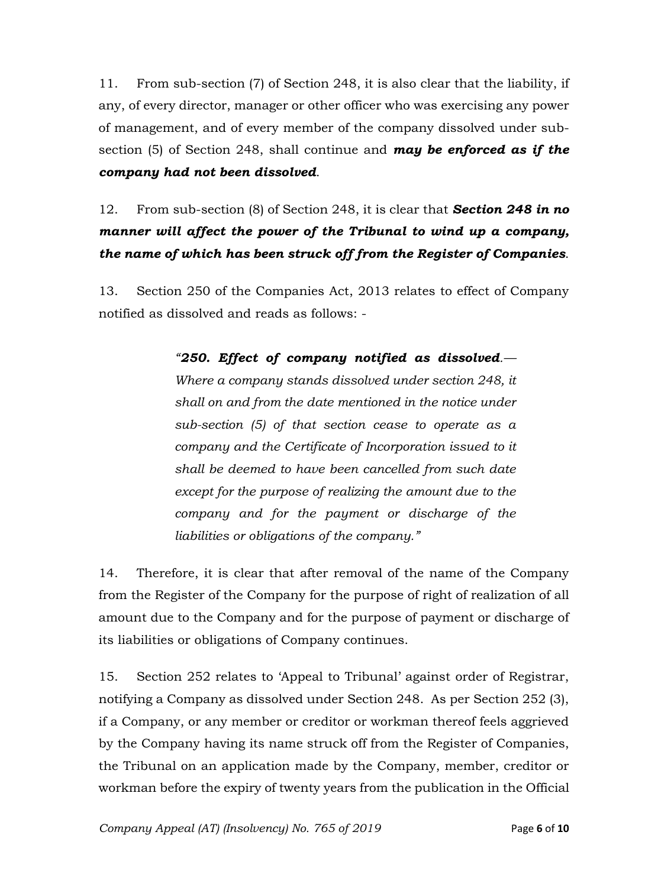11. From sub-section (7) of Section 248, it is also clear that the liability, if any, of every director, manager or other officer who was exercising any power of management, and of every member of the company dissolved under subsection (5) of Section 248, shall continue and *may be enforced as if the company had not been dissolved*.

# 12. From sub-section (8) of Section 248, it is clear that *Section 248 in no manner will affect the power of the Tribunal to wind up a company, the name of which has been struck off from the Register of Companies*.

13. Section 250 of the Companies Act, 2013 relates to effect of Company notified as dissolved and reads as follows: -

> *"250. Effect of company notified as dissolved.— Where a company stands dissolved under section 248, it shall on and from the date mentioned in the notice under sub-section (5) of that section cease to operate as a company and the Certificate of Incorporation issued to it shall be deemed to have been cancelled from such date except for the purpose of realizing the amount due to the company and for the payment or discharge of the liabilities or obligations of the company."*

14. Therefore, it is clear that after removal of the name of the Company from the Register of the Company for the purpose of right of realization of all amount due to the Company and for the purpose of payment or discharge of its liabilities or obligations of Company continues.

15. Section 252 relates to 'Appeal to Tribunal' against order of Registrar, notifying a Company as dissolved under Section 248. As per Section 252 (3), if a Company, or any member or creditor or workman thereof feels aggrieved by the Company having its name struck off from the Register of Companies, the Tribunal on an application made by the Company, member, creditor or workman before the expiry of twenty years from the publication in the Official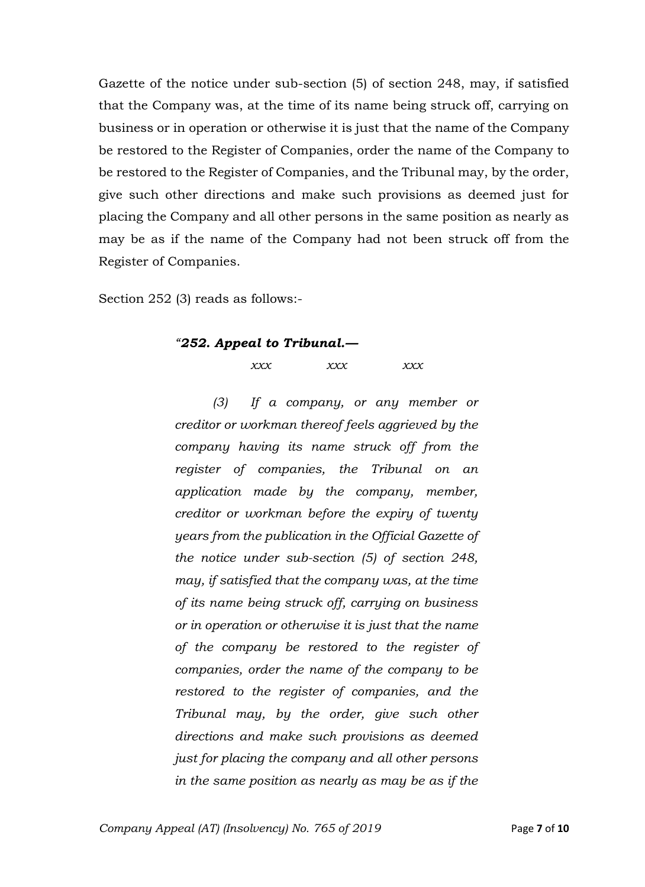Gazette of the notice under sub-section (5) of section 248, may, if satisfied that the Company was, at the time of its name being struck off, carrying on business or in operation or otherwise it is just that the name of the Company be restored to the Register of Companies, order the name of the Company to be restored to the Register of Companies, and the Tribunal may, by the order, give such other directions and make such provisions as deemed just for placing the Company and all other persons in the same position as nearly as may be as if the name of the Company had not been struck off from the Register of Companies.

Section 252 (3) reads as follows:-

#### *"252. Appeal to Tribunal.—*

*xxx xxx xxx*

*(3) If a company, or any member or creditor or workman thereof feels aggrieved by the company having its name struck off from the register of companies, the Tribunal on an application made by the company, member, creditor or workman before the expiry of twenty years from the publication in the Official Gazette of the notice under sub-section (5) of section 248, may, if satisfied that the company was, at the time of its name being struck off, carrying on business or in operation or otherwise it is just that the name of the company be restored to the register of companies, order the name of the company to be restored to the register of companies, and the Tribunal may, by the order, give such other directions and make such provisions as deemed just for placing the company and all other persons in the same position as nearly as may be as if the*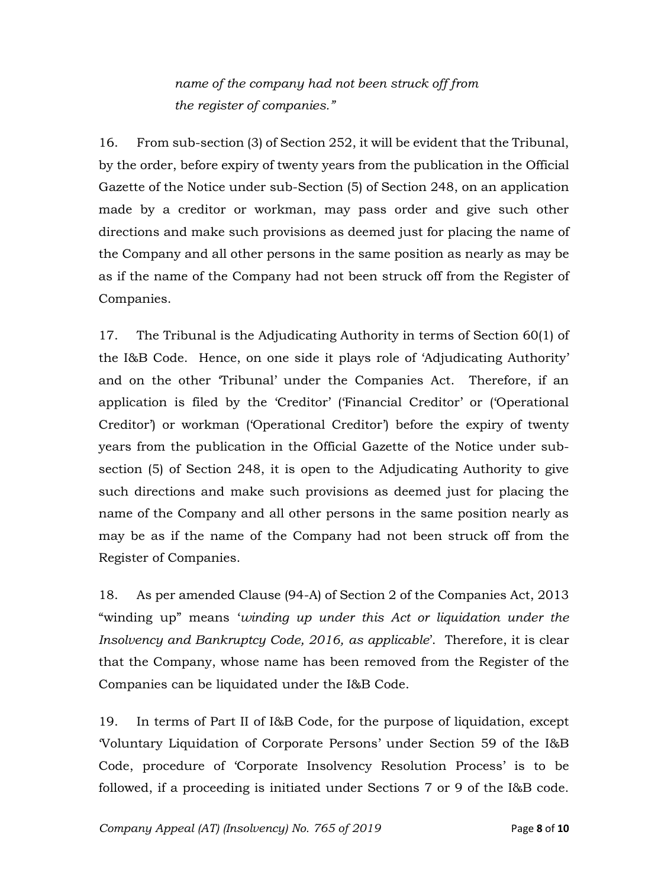*name of the company had not been struck off from the register of companies."*

16. From sub-section (3) of Section 252, it will be evident that the Tribunal, by the order, before expiry of twenty years from the publication in the Official Gazette of the Notice under sub-Section (5) of Section 248, on an application made by a creditor or workman, may pass order and give such other directions and make such provisions as deemed just for placing the name of the Company and all other persons in the same position as nearly as may be as if the name of the Company had not been struck off from the Register of Companies.

17. The Tribunal is the Adjudicating Authority in terms of Section 60(1) of the I&B Code. Hence, on one side it plays role of 'Adjudicating Authority' and on the other 'Tribunal' under the Companies Act. Therefore, if an application is filed by the 'Creditor' ('Financial Creditor' or ('Operational Creditor') or workman ('Operational Creditor') before the expiry of twenty years from the publication in the Official Gazette of the Notice under subsection (5) of Section 248, it is open to the Adjudicating Authority to give such directions and make such provisions as deemed just for placing the name of the Company and all other persons in the same position nearly as may be as if the name of the Company had not been struck off from the Register of Companies.

18. As per amended Clause (94-A) of Section 2 of the Companies Act, 2013 "winding up" means '*winding up under this Act or liquidation under the Insolvency and Bankruptcy Code, 2016, as applicable*'. Therefore, it is clear that the Company, whose name has been removed from the Register of the Companies can be liquidated under the I&B Code.

19. In terms of Part II of I&B Code, for the purpose of liquidation, except 'Voluntary Liquidation of Corporate Persons' under Section 59 of the I&B Code, procedure of 'Corporate Insolvency Resolution Process' is to be followed, if a proceeding is initiated under Sections 7 or 9 of the I&B code.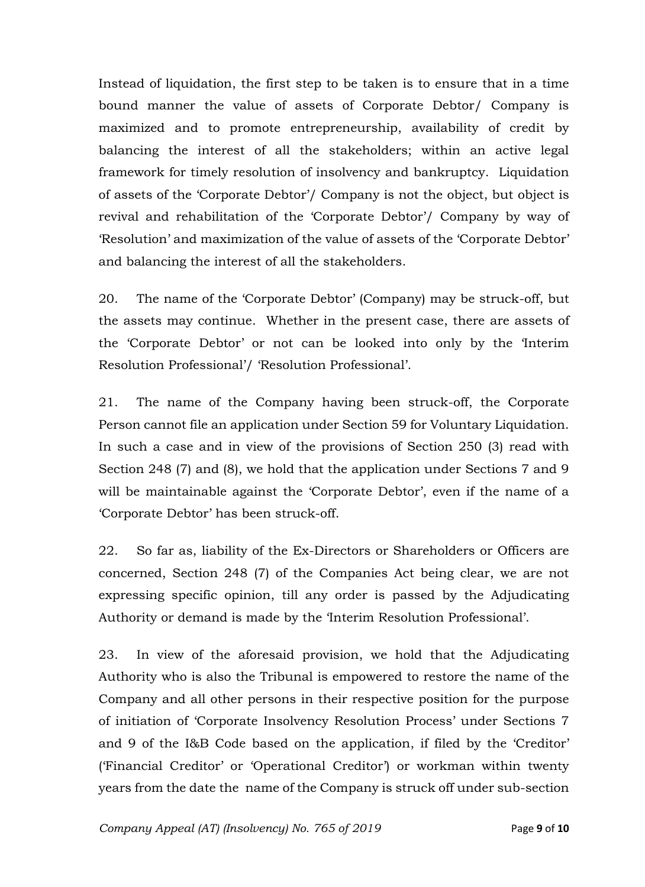Instead of liquidation, the first step to be taken is to ensure that in a time bound manner the value of assets of Corporate Debtor/ Company is maximized and to promote entrepreneurship, availability of credit by balancing the interest of all the stakeholders; within an active legal framework for timely resolution of insolvency and bankruptcy. Liquidation of assets of the 'Corporate Debtor'/ Company is not the object, but object is revival and rehabilitation of the 'Corporate Debtor'/ Company by way of 'Resolution' and maximization of the value of assets of the 'Corporate Debtor' and balancing the interest of all the stakeholders.

20. The name of the 'Corporate Debtor' (Company) may be struck-off, but the assets may continue. Whether in the present case, there are assets of the 'Corporate Debtor' or not can be looked into only by the 'Interim Resolution Professional'/ 'Resolution Professional'.

21. The name of the Company having been struck-off, the Corporate Person cannot file an application under Section 59 for Voluntary Liquidation. In such a case and in view of the provisions of Section 250 (3) read with Section 248 (7) and (8), we hold that the application under Sections 7 and 9 will be maintainable against the 'Corporate Debtor', even if the name of a 'Corporate Debtor' has been struck-off.

22. So far as, liability of the Ex-Directors or Shareholders or Officers are concerned, Section 248 (7) of the Companies Act being clear, we are not expressing specific opinion, till any order is passed by the Adjudicating Authority or demand is made by the 'Interim Resolution Professional'.

23. In view of the aforesaid provision, we hold that the Adjudicating Authority who is also the Tribunal is empowered to restore the name of the Company and all other persons in their respective position for the purpose of initiation of 'Corporate Insolvency Resolution Process' under Sections 7 and 9 of the I&B Code based on the application, if filed by the 'Creditor' ('Financial Creditor' or 'Operational Creditor') or workman within twenty years from the date the name of the Company is struck off under sub-section